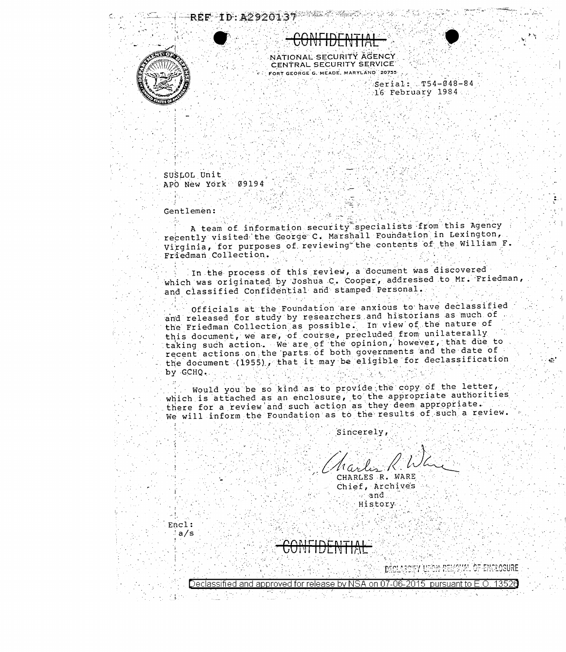



 $Serial: T54-048-84$ 16 February 1984.

SUSLOL Unit APO New York 09194

Gentlemen:

Encl:  $a/s$ 

Declassitied and annroved for

A team of information security specialists from this Agency recently visited the George C. Marshall Foundation in Lexington, Virginia, for purposes of reviewing the contents of the William F. Friedman Collection.

In the process of this review, a document was discovered which was originated by Joshua C. Cooper, addressed to Mr. Friedman, and classified Confidential and stamped Personal.

Officials at the Foundation are anxious to have declassified and released for study by researchers and historians as much of the Friedman Collection as possible. In view of the nature of this document, we are, of course, precluded from unilaterally taking such action. We are of the opinion, however, that due to the document (1955), that it may be eligible for declassification by GCHQ.

Would you be so kind as to provide the copy of the letter, which is attached as an enclosure, to the appropriate authorities there for a review and such action as they deem appropriate. We will inform the Foundation as to the results of such a review.

Sincerely,

CHARLES R. WARE Chief, Archive's  $\sim$  and History

M. OF ENCLOSURE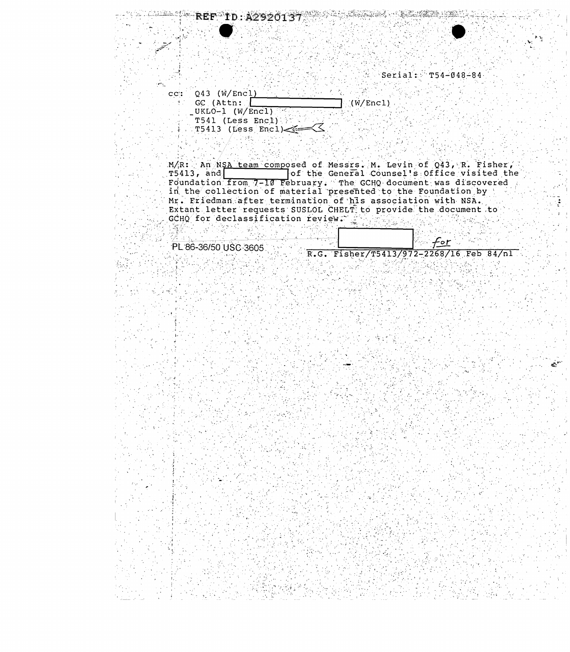$Serial:$   $T54-048-84$ 

T

| $C$ : | $Q43$ (W/Encl)      |             |
|-------|---------------------|-------------|
|       | GC (Attn:           | $-(W/Enc1)$ |
|       | UKLO-1 $(W/Enc1)$   |             |
|       | T541 (Less Encl)    |             |
|       | $T5413$ (Less Encl) |             |

REF ID: A2920137

M/R: An NSA team composed of Messrs. M. Levin of Q43, R. Fisher,<br>T5413, and of the General Counsel's Office visited the<br>Foundation from 7-10 February. The GCHQ document was discovered<br>in the collection of material presente Mr. Eriedman after termination of his association with NSA. Extant letter requests SUSLOL CHELT to provide the document to GCHO for declassification review. 2008 **主义**的人 医心室病院 医皮

PL 86-36/50 USC 3605

R.G. Fisher/T5413/972-2268/16 Feb 84/nl Dag.

 $\Delta$   $\rightarrow$ 

 $f$ <u>or</u>